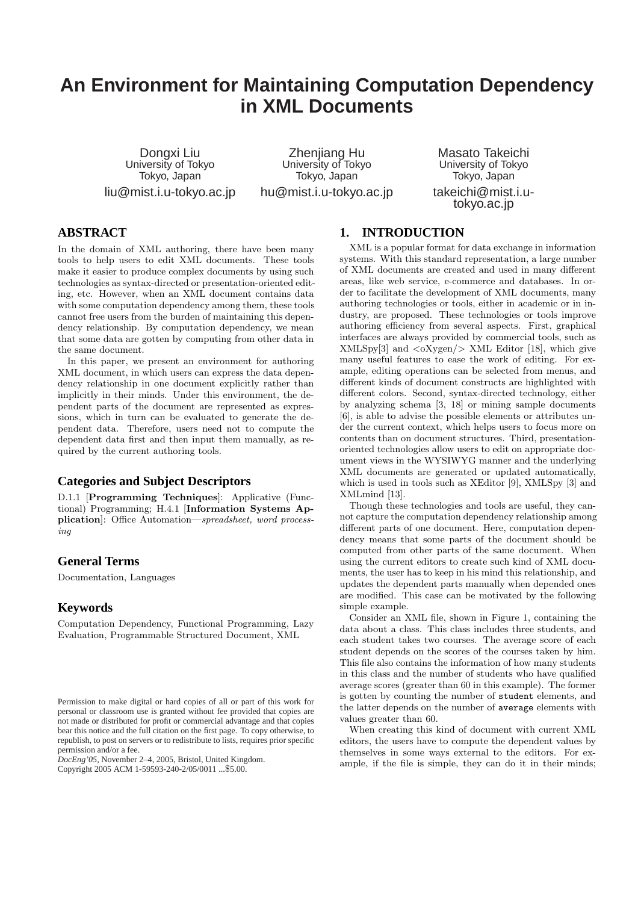# **An Environment for Maintaining Computation Dependency in XML Documents**

Dongxi Liu University of Tokyo Tokyo, Japan liu@mist.i.u-tokyo.ac.jp

Zhenjiang Hu University of Tokyo Tokyo, Japan hu@mist.i.u-tokyo.ac.jp

Masato Takeichi University of Tokyo Tokyo, Japan takeichi@mist.i.utokyo.ac.jp

## **ABSTRACT**

In the domain of XML authoring, there have been many tools to help users to edit XML documents. These tools make it easier to produce complex documents by using such technologies as syntax-directed or presentation-oriented editing, etc. However, when an XML document contains data with some computation dependency among them, these tools cannot free users from the burden of maintaining this dependency relationship. By computation dependency, we mean that some data are gotten by computing from other data in the same document.

In this paper, we present an environment for authoring XML document, in which users can express the data dependency relationship in one document explicitly rather than implicitly in their minds. Under this environment, the dependent parts of the document are represented as expressions, which in turn can be evaluated to generate the dependent data. Therefore, users need not to compute the dependent data first and then input them manually, as required by the current authoring tools.

### **Categories and Subject Descriptors**

D.1.1 [Programming Techniques]: Applicative (Functional) Programming; H.4.1 [Information Systems Application]: Office Automation—spreadsheet, word processing

### **General Terms**

Documentation, Languages

### **Keywords**

Computation Dependency, Functional Programming, Lazy Evaluation, Programmable Structured Document, XML

*DocEng'05,* November 2–4, 2005, Bristol, United Kingdom. Copyright 2005 ACM 1-59593-240-2/05/0011 ...\$5.00.

### **1. INTRODUCTION**

XML is a popular format for data exchange in information systems. With this standard representation, a large number of XML documents are created and used in many different areas, like web service, e-commerce and databases. In order to facilitate the development of XML documents, many authoring technologies or tools, either in academic or in industry, are proposed. These technologies or tools improve authoring efficiency from several aspects. First, graphical interfaces are always provided by commercial tools, such as  $XMLSpy[3]$  and  $\langle oXygen/\rangle$  XML Editor [18], which give many useful features to ease the work of editing. For example, editing operations can be selected from menus, and different kinds of document constructs are highlighted with different colors. Second, syntax-directed technology, either by analyzing schema [3, 18] or mining sample documents [6], is able to advise the possible elements or attributes under the current context, which helps users to focus more on contents than on document structures. Third, presentationoriented technologies allow users to edit on appropriate document views in the WYSIWYG manner and the underlying XML documents are generated or updated automatically, which is used in tools such as XEditor [9], XMLSpy [3] and XMLmind [13].

Though these technologies and tools are useful, they cannot capture the computation dependency relationship among different parts of one document. Here, computation dependency means that some parts of the document should be computed from other parts of the same document. When using the current editors to create such kind of XML documents, the user has to keep in his mind this relationship, and updates the dependent parts manually when depended ones are modified. This case can be motivated by the following simple example.

Consider an XML file, shown in Figure 1, containing the data about a class. This class includes three students, and each student takes two courses. The average score of each student depends on the scores of the courses taken by him. This file also contains the information of how many students in this class and the number of students who have qualified average scores (greater than 60 in this example). The former is gotten by counting the number of student elements, and the latter depends on the number of average elements with values greater than 60.

When creating this kind of document with current XML editors, the users have to compute the dependent values by themselves in some ways external to the editors. For example, if the file is simple, they can do it in their minds;

Permission to make digital or hard copies of all or part of this work for personal or classroom use is granted without fee provided that copies are not made or distributed for profit or commercial advantage and that copies bear this notice and the full citation on the first page. To copy otherwise, to republish, to post on servers or to redistribute to lists, requires prior specific permission and/or a fee.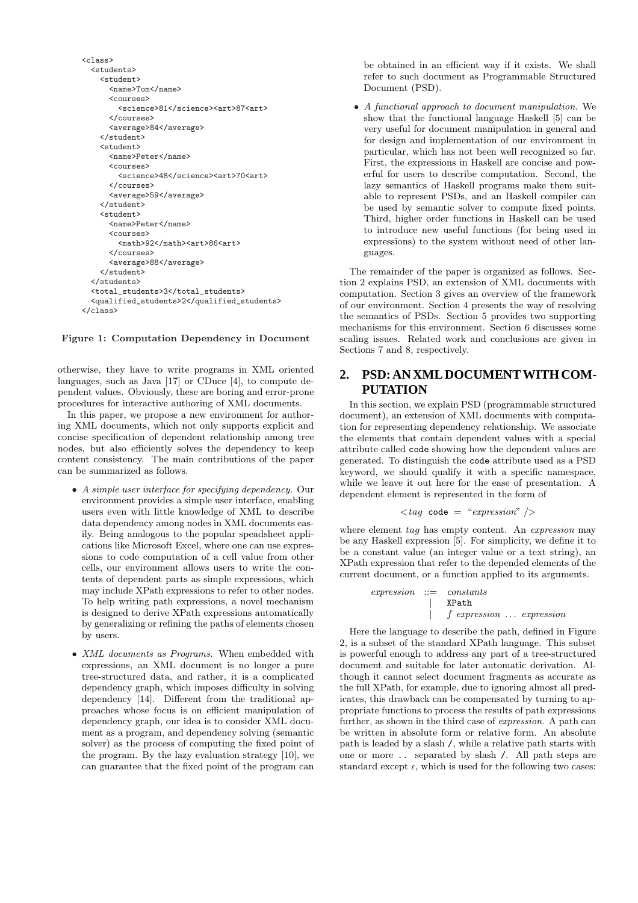```
<class>
  <students>
    <student>
      <name>Tom</name>
      <courses>
        <science>81</science><art>87<art>
      </courses>
      <average>84</average>
    </student>
    <student>
      <name>Peter</name>
      <courses>
        <science>48</science><art>70<art>
      </courses>
      <average>59</average>
    </student>
    <student>
      <name>Peter</name>
      <courses>
        <sub>math>92</sub></math>math>sath</sub></sub>
      </courses>
      <average>88</average>
    </student>
  </students>
  <total_students>3</total_students>
  <qualified_students>2</qualified_students>
</class>
```
#### Figure 1: Computation Dependency in Document

otherwise, they have to write programs in XML oriented languages, such as Java [17] or CDuce [4], to compute dependent values. Obviously, these are boring and error-prone procedures for interactive authoring of XML documents.

In this paper, we propose a new environment for authoring XML documents, which not only supports explicit and concise specification of dependent relationship among tree nodes, but also efficiently solves the dependency to keep content consistency. The main contributions of the paper can be summarized as follows.

- A simple user interface for specifying dependency. Our environment provides a simple user interface, enabling users even with little knowledge of XML to describe data dependency among nodes in XML documents easily. Being analogous to the popular speadsheet applications like Microsoft Excel, where one can use expressions to code computation of a cell value from other cells, our environment allows users to write the contents of dependent parts as simple expressions, which may include XPath expressions to refer to other nodes. To help writing path expressions, a novel mechanism is designed to derive XPath expressions automatically by generalizing or refining the paths of elements chosen by users.
- XML documents as Programs. When embedded with expressions, an XML document is no longer a pure tree-structured data, and rather, it is a complicated dependency graph, which imposes difficulty in solving dependency [14]. Different from the traditional approaches whose focus is on efficient manipulation of dependency graph, our idea is to consider XML document as a program, and dependency solving (semantic solver) as the process of computing the fixed point of the program. By the lazy evaluation strategy [10], we can guarantee that the fixed point of the program can

be obtained in an efficient way if it exists. We shall refer to such document as Programmable Structured Document (PSD).

• A functional approach to document manipulation. We show that the functional language Haskell [5] can be very useful for document manipulation in general and for design and implementation of our environment in particular, which has not been well recognized so far. First, the expressions in Haskell are concise and powerful for users to describe computation. Second, the lazy semantics of Haskell programs make them suitable to represent PSDs, and an Haskell compiler can be used by semantic solver to compute fixed points. Third, higher order functions in Haskell can be used to introduce new useful functions (for being used in expressions) to the system without need of other languages.

The remainder of the paper is organized as follows. Section 2 explains PSD, an extension of XML documents with computation. Section 3 gives an overview of the framework of our environment. Section 4 presents the way of resolving the semantics of PSDs. Section 5 provides two supporting mechanisms for this environment. Section 6 discusses some scaling issues. Related work and conclusions are given in Sections 7 and 8, respectively.

### **2. PSD: AN XML DOCUMENT WITH COM-PUTATION**

In this section, we explain PSD (programmable structured document), an extension of XML documents with computation for representing dependency relationship. We associate the elements that contain dependent values with a special attribute called code showing how the dependent values are generated. To distinguish the code attribute used as a PSD keyword, we should qualify it with a specific namespace, while we leave it out here for the ease of presentation. A dependent element is represented in the form of

$$
\langle tag \text{ code} = \text{``expression''}
$$

where element tag has empty content. An expression may be any Haskell expression [5]. For simplicity, we define it to be a constant value (an integer value or a text string), an XPath expression that refer to the depended elements of the current document, or a function applied to its arguments.

$$
\begin{array}{lcl} \textit{expression} & ::= & \textit{constants} \\ & | & \verb|XPath \\ & | & f \textit{ expression } \dots \textit{ expression} \end{array}
$$

Here the language to describe the path, defined in Figure 2, is a subset of the standard XPath language. This subset is powerful enough to address any part of a tree-structured document and suitable for later automatic derivation. Although it cannot select document fragments as accurate as the full XPath, for example, due to ignoring almost all predicates, this drawback can be compensated by turning to appropriate functions to process the results of path expressions further, as shown in the third case of *expression*. A path can be written in absolute form or relative form. An absolute path is leaded by a slash /, while a relative path starts with one or more .. separated by slash /. All path steps are standard except  $\epsilon$ , which is used for the following two cases: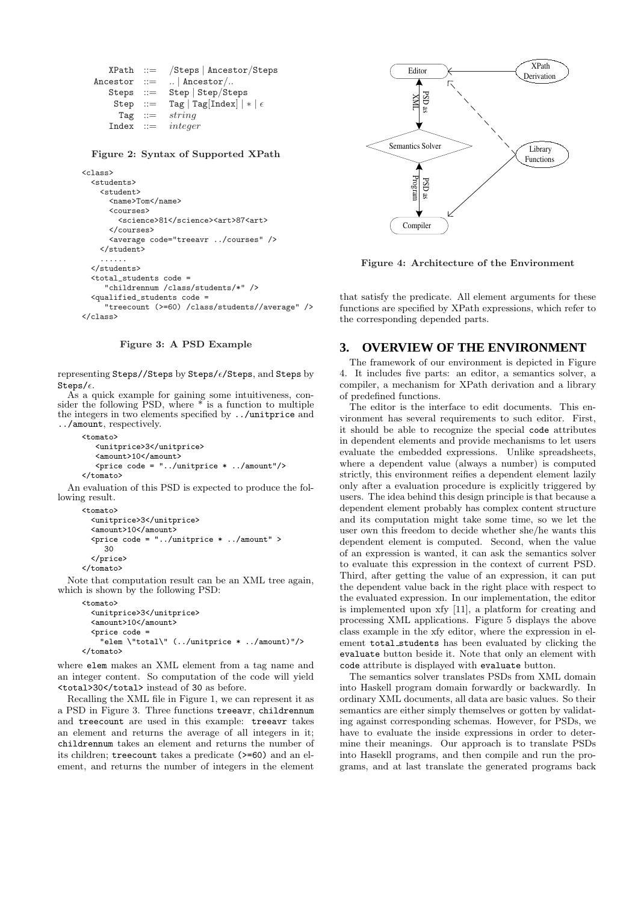```
XPath ::= /Steps | Ancestor/Steps
Ancestor  ::= ... | Ancestor/...
     Steps ::= Step | Step/Steps
       \begin{array}{lll} \texttt{Step} & ::= & \texttt{Tag} \, | \, \texttt{Tag}[\texttt{Index}] \, | * | \, \epsilon \\ \texttt{Tag} & ::= & \textit{string} \end{array} ::= string
     Index ::= integer
```
Figure 2: Syntax of Supported XPath

```
<class>
  <students>
    <student>
      <name>Tom</name>
      <courses>
        <science>81</science><art>87<art>
      </courses>
      <average code="treeavr ../courses" />
    </student>
     ......
  </students>
  <total_students code =
     "childrennum /class/students/*" />
  <qualified_students code =
     "treecount (>=60) /class/students//average" />
</class>
```


representing Steps//Steps by Steps/ $\epsilon$ /Steps, and Steps by Steps/ $\epsilon$ .

As a quick example for gaining some intuitiveness, consider the following PSD, where  $*$  is a function to multiple the integers in two elements specified by ../unitprice and ../amount, respectively.

```
<tomato>
  <unitprice>3</unitprice>
  <amount>10</amount>
   <price code = "../unitprice * ../amount"/>
</tomato>
```
An evaluation of this PSD is expected to produce the following result.

```
<tomato>
  <unitprice>3</unitprice>
  <amount>10</amount>
  <price code = "../unitprice * ../amount" >
     30
  </price>
</tomato>
```
Note that computation result can be an XML tree again, which is shown by the following PSD:

```
<tomato>
  <unitprice>3</unitprice>
  <amount>10</amount>
  <price code =
    "elem \"total\" (../unitprice * ../amount)"/>
</tomato>
```
where elem makes an XML element from a tag name and an integer content. So computation of the code will yield <total>30</total> instead of 30 as before.

Recalling the XML file in Figure 1, we can represent it as a PSD in Figure 3. Three functions treeavr, childrennum and treecount are used in this example: treeavr takes an element and returns the average of all integers in it; childrennum takes an element and returns the number of its children; treecount takes a predicate (>=60) and an element, and returns the number of integers in the element



Figure 4: Architecture of the Environment

that satisfy the predicate. All element arguments for these functions are specified by XPath expressions, which refer to the corresponding depended parts.

### **3. OVERVIEW OF THE ENVIRONMENT**

The framework of our environment is depicted in Figure 4. It includes five parts: an editor, a semantics solver, a compiler, a mechanism for XPath derivation and a library of predefined functions.

The editor is the interface to edit documents. This environment has several requirements to such editor. First, it should be able to recognize the special code attributes in dependent elements and provide mechanisms to let users evaluate the embedded expressions. Unlike spreadsheets, where a dependent value (always a number) is computed strictly, this environment reifies a dependent element lazily only after a evaluation procedure is explicitly triggered by users. The idea behind this design principle is that because a dependent element probably has complex content structure and its computation might take some time, so we let the user own this freedom to decide whether she/he wants this dependent element is computed. Second, when the value of an expression is wanted, it can ask the semantics solver to evaluate this expression in the context of current PSD. Third, after getting the value of an expression, it can put the dependent value back in the right place with respect to the evaluated expression. In our implementation, the editor is implemented upon xfy [11], a platform for creating and processing XML applications. Figure 5 displays the above class example in the xfy editor, where the expression in element total students has been evaluated by clicking the evaluate button beside it. Note that only an element with code attribute is displayed with evaluate button.

The semantics solver translates PSDs from XML domain into Haskell program domain forwardly or backwardly. In ordinary XML documents, all data are basic values. So their semantics are either simply themselves or gotten by validating against corresponding schemas. However, for PSDs, we have to evaluate the inside expressions in order to determine their meanings. Our approach is to translate PSDs into Hasekll programs, and then compile and run the programs, and at last translate the generated programs back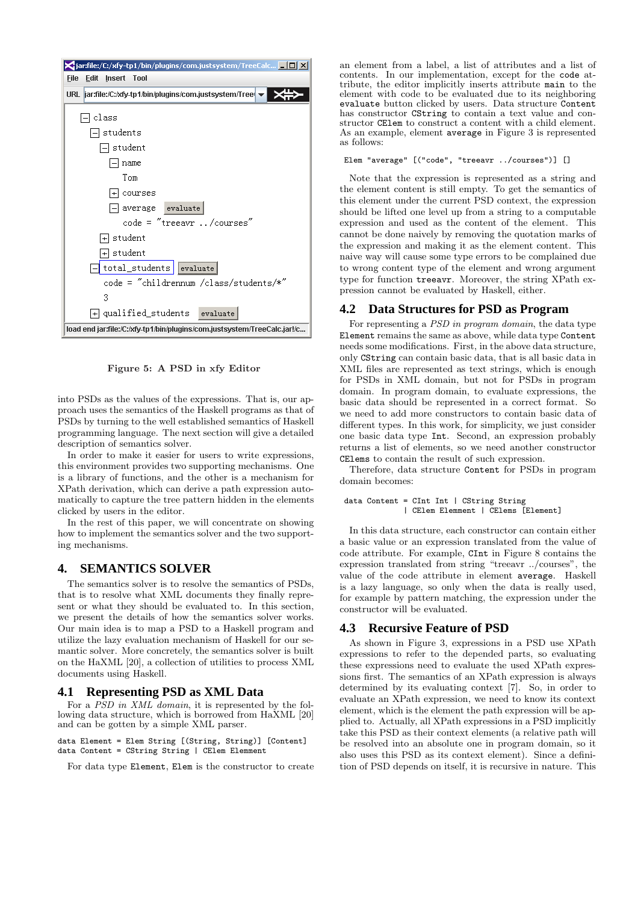

Figure 5: A PSD in xfy Editor

into PSDs as the values of the expressions. That is, our approach uses the semantics of the Haskell programs as that of PSDs by turning to the well established semantics of Haskell programming language. The next section will give a detailed description of semantics solver.

In order to make it easier for users to write expressions, this environment provides two supporting mechanisms. One is a library of functions, and the other is a mechanism for XPath derivation, which can derive a path expression automatically to capture the tree pattern hidden in the elements clicked by users in the editor.

In the rest of this paper, we will concentrate on showing how to implement the semantics solver and the two supporting mechanisms.

### **4. SEMANTICS SOLVER**

The semantics solver is to resolve the semantics of PSDs, that is to resolve what XML documents they finally represent or what they should be evaluated to. In this section, we present the details of how the semantics solver works. Our main idea is to map a PSD to a Haskell program and utilize the lazy evaluation mechanism of Haskell for our semantic solver. More concretely, the semantics solver is built on the HaXML [20], a collection of utilities to process XML documents using Haskell.

### **4.1 Representing PSD as XML Data**

For a PSD in XML domain, it is represented by the following data structure, which is borrowed from HaXML [20] and can be gotten by a simple XML parser.

data Element = Elem String [(String, String)] [Content] data Content = CString String | CElem Elemment

For data type Element, Elem is the constructor to create

an element from a label, a list of attributes and a list of contents. In our implementation, except for the code attribute, the editor implicitly inserts attribute main to the element with code to be evaluated due to its neighboring evaluate button clicked by users. Data structure Content has constructor CString to contain a text value and constructor CElem to construct a content with a child element. As an example, element average in Figure 3 is represented as follows:

#### Elem "average" [("code", "treeavr ../courses")] []

Note that the expression is represented as a string and the element content is still empty. To get the semantics of this element under the current PSD context, the expression should be lifted one level up from a string to a computable expression and used as the content of the element. This cannot be done naively by removing the quotation marks of the expression and making it as the element content. This naive way will cause some type errors to be complained due to wrong content type of the element and wrong argument type for function treeavr. Moreover, the string XPath expression cannot be evaluated by Haskell, either.

### **4.2 Data Structures for PSD as Program**

For representing a *PSD in program domain*, the data type Element remains the same as above, while data type Content needs some modifications. First, in the above data structure, only CString can contain basic data, that is all basic data in XML files are represented as text strings, which is enough for PSDs in XML domain, but not for PSDs in program domain. In program domain, to evaluate expressions, the basic data should be represented in a correct format. So we need to add more constructors to contain basic data of different types. In this work, for simplicity, we just consider one basic data type Int. Second, an expression probably returns a list of elements, so we need another constructor CElems to contain the result of such expression.

Therefore, data structure Content for PSDs in program domain becomes:

```
data Content = CInt Int | CString String
             | CElem Elemment | CElems [Element]
```
In this data structure, each constructor can contain either a basic value or an expression translated from the value of code attribute. For example, CInt in Figure 8 contains the expression translated from string "treeavr ../courses", the value of the code attribute in element average. Haskell is a lazy language, so only when the data is really used, for example by pattern matching, the expression under the constructor will be evaluated.

### **4.3 Recursive Feature of PSD**

As shown in Figure 3, expressions in a PSD use XPath expressions to refer to the depended parts, so evaluating these expressions need to evaluate the used XPath expressions first. The semantics of an XPath expression is always determined by its evaluating context [7]. So, in order to evaluate an XPath expression, we need to know its context element, which is the element the path expression will be applied to. Actually, all XPath expressions in a PSD implicitly take this PSD as their context elements (a relative path will be resolved into an absolute one in program domain, so it also uses this PSD as its context element). Since a definition of PSD depends on itself, it is recursive in nature. This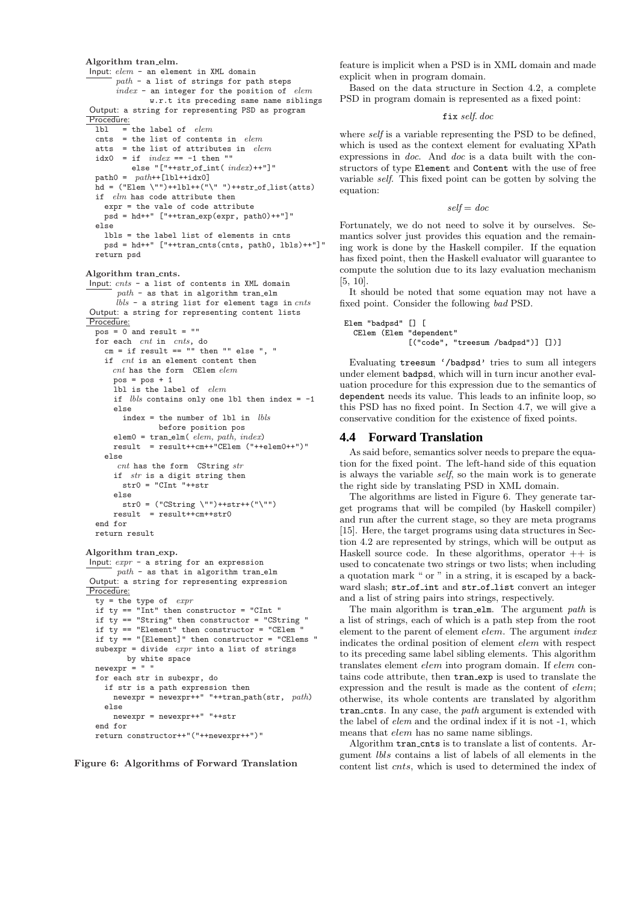```
Algorithm tran elm.
Input: elem - an element in XML domain
      path - a list of strings for path steps
      index - an integer for the position of elemw.r.t its preceding same name siblings
Output: a string for representing PSD as program
Procedure:
  1b1 = the label of elemcnts = the list of contents in elematts = the list of attributes in elemidx0 = if index == -1 then ""
         else "["++str_of_int(index)++"]"
 path0 = path++[1b1++idx0]\text{hd} = ("Elem \"")++1bl++("\" ")++str_of_list(atts)
  if elm has code attribute then
    expr = the vale of code attribute
    psd = hd++" ["++tran exp(expr, path0)++"]"
  else
    lbls = the label list of elements in cnts
    psd = hd++" ["++tran cnts(cnts, path0, lbls)++"]"
 return psd
Algorithm tran_cnts.
Input: cnts - a list of contents in XML domain
       path - as that in algorithm tranellmllbls - a string list for element tags in cntsOutput: a string for representing content lists
Procedure:
  pos = 0 and result = ""for each cnt in cnts, do
    cm = if result == " " then " " else " , "if cnt is an element content then
     cnt has the form CElem elempos = pos + 11bl is the label of elem
      if lbls contains only one lbl then index = -1
      else
        index = the number of 1b1 in llbbefore position pos
      elem0 = tran\_elm(elem, path, index)
     result = result++cm++"CElem ("++elem0++")"
    else
       cnt has the form CString str
      if str is a digit string then
       str0 = "CInt"++str
      else
       str0 = ("CString \'")++str++("'\'")result = result + + cm + start0end for
 return result
Algorithm tran_exp.
Input: expr - a string for an expressionpath - as that in algorithm tranelmOutput: a string for representing expression
```

```
Procedure:
  ty = the type of expr
  if ty == "Int" then constructor = "CInt "
  if ty == "String" then constructor = "CString "
  if ty == "Element" then constructor = "CElem "
  if ty == "[Element]" then constructor = "CElems "
  subexpr = divide expr into a list of strings
        by white space
 newexpr = " "for each str in subexpr, do
    if str is a path expression then
     newexpr = newexpr++" "++tran.path(str, path)else
     newexpr = newexpr++" "++str
  end for
 return constructor++"("++newexpr++")"
```
Figure 6: Algorithms of Forward Translation

feature is implicit when a PSD is in XML domain and made explicit when in program domain.

Based on the data structure in Section 4.2, a complete PSD in program domain is represented as a fixed point:

#### fix self. doc

where *self* is a variable representing the PSD to be defined, which is used as the context element for evaluating XPath expressions in doc. And doc is a data built with the constructors of type Element and Content with the use of free variable self. This fixed point can be gotten by solving the equation:

$$
self = doc
$$

Fortunately, we do not need to solve it by ourselves. Semantics solver just provides this equation and the remaining work is done by the Haskell compiler. If the equation has fixed point, then the Haskell evaluator will guarantee to compute the solution due to its lazy evaluation mechanism [5, 10].

It should be noted that some equation may not have a fixed point. Consider the following bad PSD.

```
Elem "badpsd" [] [
  CElem (Elem "dependent"
              [("code", "treesum /badpsd")] [])]
```
Evaluating treesum '/badpsd' tries to sum all integers under element badpsd, which will in turn incur another evaluation procedure for this expression due to the semantics of dependent needs its value. This leads to an infinite loop, so this PSD has no fixed point. In Section 4.7, we will give a conservative condition for the existence of fixed points.

#### **4.4 Forward Translation**

As said before, semantics solver needs to prepare the equation for the fixed point. The left-hand side of this equation is always the variable self, so the main work is to generate the right side by translating PSD in XML domain.

The algorithms are listed in Figure 6. They generate target programs that will be compiled (by Haskell compiler) and run after the current stage, so they are meta programs [15]. Here, the target programs using data structures in Section 4.2 are represented by strings, which will be output as Haskell source code. In these algorithms, operator  $++$  is used to concatenate two strings or two lists; when including a quotation mark " or " in a string, it is escaped by a backward slash; str\_of\_int and str\_of\_list convert an integer and a list of string pairs into strings, respectively.

The main algorithm is tran elm. The argument path is a list of strings, each of which is a path step from the root element to the parent of element *elem*. The argument *index* indicates the ordinal position of element elem with respect to its preceding same label sibling elements. This algorithm translates element elem into program domain. If elem contains code attribute, then tran exp is used to translate the expression and the result is made as the content of *elem*; otherwise, its whole contents are translated by algorithm tran\_cnts. In any case, the *path* argument is extended with the label of elem and the ordinal index if it is not -1, which means that *elem* has no same name siblings.

Algorithm tran cnts is to translate a list of contents. Argument lbls contains a list of labels of all elements in the content list cnts, which is used to determined the index of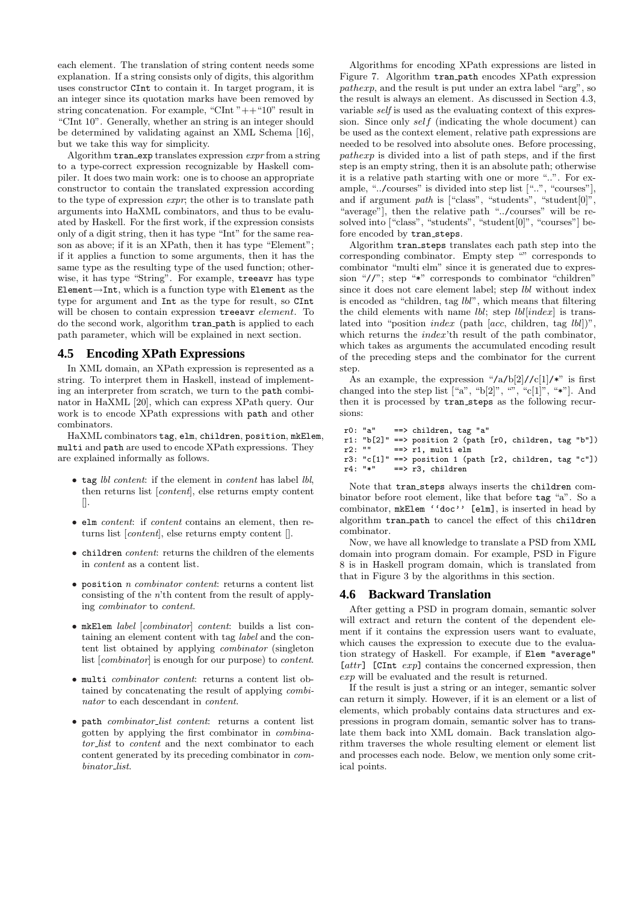each element. The translation of string content needs some explanation. If a string consists only of digits, this algorithm uses constructor CInt to contain it. In target program, it is an integer since its quotation marks have been removed by string concatenation. For example, "CInt " $++$ "10" result in "CInt 10". Generally, whether an string is an integer should be determined by validating against an XML Schema [16], but we take this way for simplicity.

Algorithm tran exp translates expression expr from a string to a type-correct expression recognizable by Haskell compiler. It does two main work: one is to choose an appropriate constructor to contain the translated expression according to the type of expression expr; the other is to translate path arguments into HaXML combinators, and thus to be evaluated by Haskell. For the first work, if the expression consists only of a digit string, then it has type "Int" for the same reason as above; if it is an XPath, then it has type "Element"; if it applies a function to some arguments, then it has the same type as the resulting type of the used function; otherwise, it has type "String". For example, treeavr has type Element→Int, which is a function type with Element as the type for argument and Int as the type for result, so CInt will be chosen to contain expression treeavr element. To do the second work, algorithm tran path is applied to each path parameter, which will be explained in next section.

#### **4.5 Encoding XPath Expressions**

In XML domain, an XPath expression is represented as a string. To interpret them in Haskell, instead of implementing an interpreter from scratch, we turn to the path combinator in HaXML [20], which can express XPath query. Our work is to encode XPath expressions with path and other combinators.

HaXML combinators tag, elm, children, position, mkElem, multi and path are used to encode XPath expressions. They are explained informally as follows.

- $\bullet$  tag *lbl content*: if the element in *content* has label *lbl*, then returns list [content], else returns empty content [].
- elm content: if content contains an element, then returns list [content], else returns empty content [].
- children content: returns the children of the elements in content as a content list.
- $\bullet$  position *n* combinator content: returns a content list consisting of the n'th content from the result of applying combinator to content.
- mkElem label [combinator] content: builds a list containing an element content with tag label and the content list obtained by applying combinator (singleton list [*combinator*] is enough for our purpose) to *content*.
- multi combinator content: returns a content list obtained by concatenating the result of applying combinator to each descendant in content.
- path combinator list content: returns a content list gotten by applying the first combinator in combinator<sub>-list</sub> to *content* and the next combinator to each content generated by its preceding combinator in combinator list.

Algorithms for encoding XPath expressions are listed in Figure 7. Algorithm tran path encodes XPath expression pathexp, and the result is put under an extra label "arg", so the result is always an element. As discussed in Section 4.3, variable self is used as the evaluating context of this expression. Since only self (indicating the whole document) can be used as the context element, relative path expressions are needed to be resolved into absolute ones. Before processing, pathexp is divided into a list of path steps, and if the first step is an empty string, then it is an absolute path; otherwise it is a relative path starting with one or more "..". For example, "../courses" is divided into step list ["..", "courses"], and if argument path is ["class", "students", "student $[0]$ ", "average"], then the relative path "../courses" will be resolved into ["class", "students", "student[0]", "courses"] before encoded by tran steps.

Algorithm tran steps translates each path step into the corresponding combinator. Empty step "" corresponds to combinator "multi elm" since it is generated due to expression "//"; step "\*" corresponds to combinator "children" since it does not care element label; step *lbl* without index is encoded as "children, tag  $lbl$ ", which means that filtering the child elements with name  $lbl$ ; step  $lbl/index$  is translated into "position  $index$  (path [acc, children, tag  $bb|$ ])", which returns the *index*'th result of the path combinator, which takes as arguments the accumulated encoding result of the preceding steps and the combinator for the current step.

As an example, the expression " $/a/b[2]/c[1]/*$ " is first changed into the step list  $[$ "a", "b[2]", "", "c[1]", "\*"]. And then it is processed by tran steps as the following recursions:

- r0: "a" ==> children, tag "a" r1: "b[2]" ==> position 2 (path [r0, children, tag "b"])<br>r2: "" ==> r1, multi elm  $=$   $\frac{1}{r}$  multi elm
- r3: "c[1]" ==> position 1 (path [r2, children, tag "c"])<br>r4: "\*" ==> r3, children  $\Rightarrow$  r3, children

Note that tran steps always inserts the children combinator before root element, like that before tag "a". So a combinator, mkElem ''doc'' [elm], is inserted in head by algorithm tran path to cancel the effect of this children combinator.

Now, we have all knowledge to translate a PSD from XML domain into program domain. For example, PSD in Figure 8 is in Haskell program domain, which is translated from that in Figure 3 by the algorithms in this section.

### **4.6 Backward Translation**

After getting a PSD in program domain, semantic solver will extract and return the content of the dependent element if it contains the expression users want to evaluate, which causes the expression to execute due to the evaluation strategy of Haskell. For example, if Elem "average"  $[attr]$  [CInt  $exp$ ] contains the concerned expression, then exp will be evaluated and the result is returned.

If the result is just a string or an integer, semantic solver can return it simply. However, if it is an element or a list of elements, which probably contains data structures and expressions in program domain, semantic solver has to translate them back into XML domain. Back translation algorithm traverses the whole resulting element or element list and processes each node. Below, we mention only some critical points.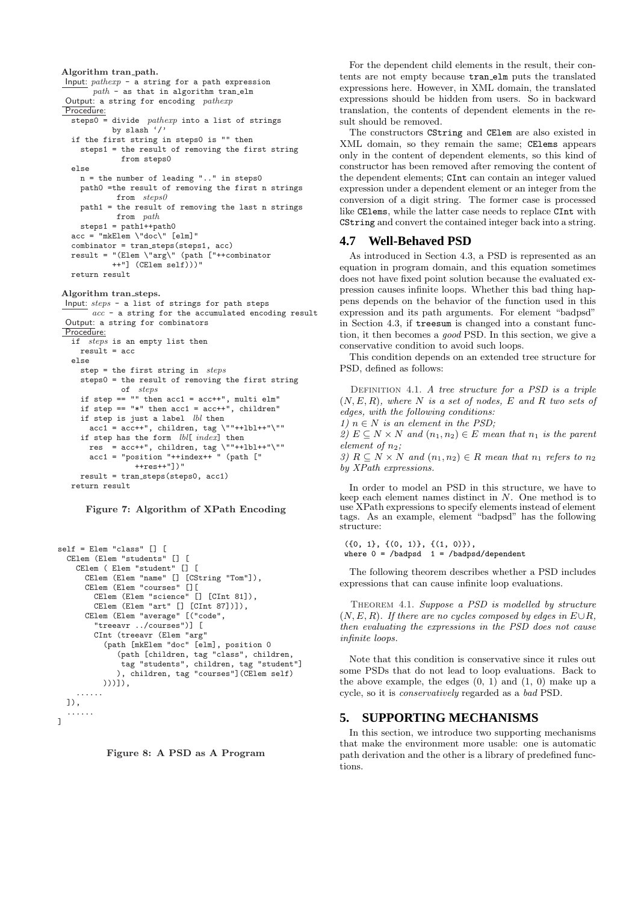```
Algorithm tran path.
Input: pathexp - a string for a path expression
      path - as that in algorithm tran elm
Output: a string for encoding pathexp
Procedure:
  steps0 = divide pathexp into a list of strings
           by slash '/'
 if the first string in steps0 is "" then
    steps1 = the result of removing the first string
             from steps0
  else
   n = the number of leading ".." in steps0
   path0 =the result of removing the first n strings
            from steps()
   path1 = the result of removing the last n strings
           from path
   steps1 = path1++path0acc = "mkElem \ \Psi doc \ [elm]"
  combinator = tran steps(steps1, acc)
  result = "(Elem \"arg\" (path ["++combinator
          ++"] (CElem self)))"
 return result
Algorithm tran steps.
Input: steps - a list of strings for path steps
      acc - a string for the accumulated encoding result
Output: a string for combinators
Procedure:
  if steps is an empty list then
   result = accelse
   step = the first string in stepssteps0 = the result of removing the first string
            of steps
    if step == "" then acc1 = acc++", multi elm"
    if step == "*" then acc1 = acc++", children"
    if step is just a label \hat{b}l then
      acc1 = acc++", children, tag \i+1bl++"\iif step has the form \textit{lbl}[ \textit{index}] then
      res = acc++", children, tag \""++lbl++"\""
      acc1 = "position "++index++ " (path ["
                ++res++"])"
   result = tran steps(steps0, acc1)
 return result
```


```
self = Elem "class" [] [
  CElem (Elem "students" [] [
    CElem ( Elem "student" [] [
      CElem (Elem "name" [] [CString "Tom"]),
      CElem (Elem "courses" [][
        CElem (Elem "science" [] [CInt 81]),
        CElem (Elem "art" [] [CInt 87])]),
      CElem (Elem "average" [("code",
        "treeavr ../courses")] [
        CInt (treeavr (Elem "arg
          (path [mkElem "doc" [elm], position 0
             (path [children, tag "class", children,
              tag "students", children, tag "student"]
             ), children, tag "courses"](CElem self)
          )))]),
    ......
 ]),
 ......
\overline{1}
```


For the dependent child elements in the result, their contents are not empty because tran elm puts the translated expressions here. However, in XML domain, the translated expressions should be hidden from users. So in backward translation, the contents of dependent elements in the result should be removed.

The constructors CString and CElem are also existed in XML domain, so they remain the same; CElems appears only in the content of dependent elements, so this kind of constructor has been removed after removing the content of the dependent elements; CInt can contain an integer valued expression under a dependent element or an integer from the conversion of a digit string. The former case is processed like CElems, while the latter case needs to replace CInt with CString and convert the contained integer back into a string.

#### **4.7 Well-Behaved PSD**

As introduced in Section 4.3, a PSD is represented as an equation in program domain, and this equation sometimes does not have fixed point solution because the evaluated expression causes infinite loops. Whether this bad thing happens depends on the behavior of the function used in this expression and its path arguments. For element "badpsd" in Section 4.3, if treesum is changed into a constant function, it then becomes a good PSD. In this section, we give a conservative condition to avoid such loops.

This condition depends on an extended tree structure for PSD, defined as follows:

DEFINITION 4.1. A tree structure for a PSD is a triple  $(N, E, R)$ , where N is a set of nodes, E and R two sets of edges, with the following conditions:

1)  $n \in N$  is an element in the PSD;

2)  $E \subseteq N \times N$  and  $(n_1, n_2) \in E$  mean that  $n_1$  is the parent element of  $n_2$ ;

3)  $R \subseteq N \times N$  and  $(n_1, n_2) \in R$  mean that  $n_1$  refers to  $n_2$ by XPath expressions.

In order to model an PSD in this structure, we have to keep each element names distinct in N. One method is to use XPath expressions to specify elements instead of element tags. As an example, element "badpsd" has the following structure:

({0, 1}, {(0, 1)}, {(1, 0)}), where  $0 = /badpsd 1 = /badpsd/dependent$ 

The following theorem describes whether a PSD includes expressions that can cause infinite loop evaluations.

THEOREM 4.1. Suppose a PSD is modelled by structure  $(N, E, R)$ . If there are no cycles composed by edges in  $E \cup R$ , then evaluating the expressions in the PSD does not cause infinite loops.

Note that this condition is conservative since it rules out some PSDs that do not lead to loop evaluations. Back to the above example, the edges  $(0, 1)$  and  $(1, 0)$  make up a cycle, so it is conservatively regarded as a bad PSD.

#### **5. SUPPORTING MECHANISMS**

In this section, we introduce two supporting mechanisms that make the environment more usable: one is automatic path derivation and the other is a library of predefined functions.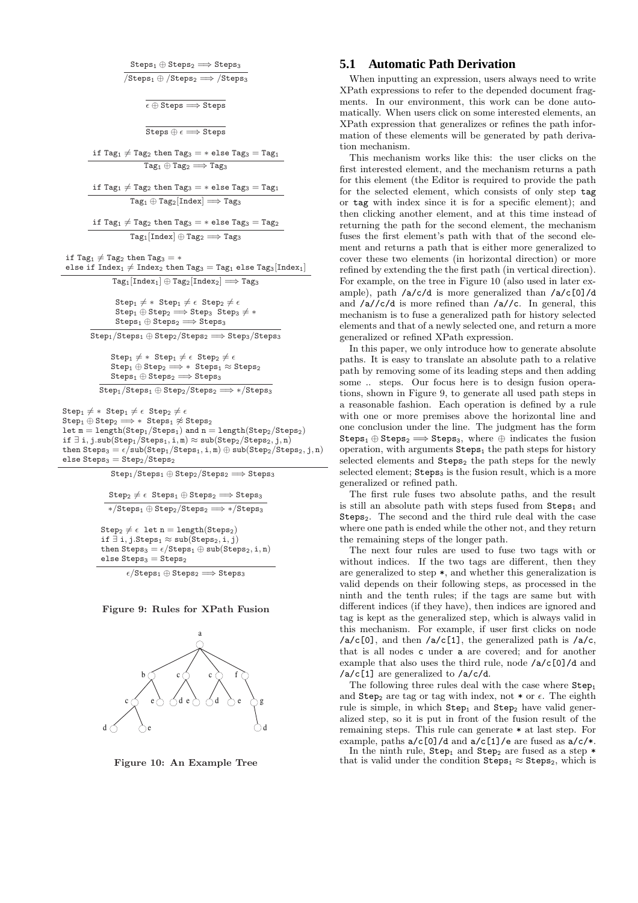$\mathtt{Steps_1} \oplus \mathtt{Steps_2} \Longrightarrow \mathtt{Steps_3}$  $\sqrt{\text{Steps}_1 \oplus \text{Steps}_2} \Longrightarrow \sqrt{\text{Steps}_3}$ 

 $\overline{\epsilon \oplus \text{Steps}} \Longrightarrow \text{Steps}$ 

Steps  $\oplus$   $\epsilon \Longrightarrow$  Steps

if Tag<sub>1</sub>  $\neq$  Tag<sub>2</sub> then Tag<sub>3</sub> = \* else Tag<sub>3</sub> = Tag<sub>1</sub>  $\overline{\text{Tag}_1 \oplus \text{Tag}_2 \Longrightarrow \text{Tag}_3}$ 

if Tag<sub>1</sub>  $\neq$  Tag<sub>2</sub> then Tag<sub>3</sub> = \* else Tag<sub>3</sub> = Tag<sub>1</sub>  $Tag_1 \oplus Tag_2[Index] \Longrightarrow Tag_3$ 

if Tag<sub>1</sub>  $\neq$  Tag<sub>2</sub> then Tag<sub>3</sub> = \* else Tag<sub>3</sub> = Tag<sub>2</sub>  $Tag_1[Index] \oplus Tag_2 \Longrightarrow Tag_3$ 

if Tag<sub>1</sub>  $\neq$  Tag<sub>2</sub> then Tag<sub>3</sub> =  $*$ 

else if  $Index_1 \neq Index_2$  then Tag<sub>3</sub> = Tag<sub>1</sub> else Tag<sub>3</sub>[Index<sub>1</sub>]  $Tag_1[Index_1] \oplus Tag_2[Index_2] \Longrightarrow Tag_3$ 

> Step<sub>1</sub>  $\neq$  \* Step<sub>1</sub>  $\neq$   $\epsilon$  Step<sub>2</sub>  $\neq$   $\epsilon$  $Step<sub>1</sub> ⊕ Step<sub>2</sub>  $\Longrightarrow$  Step<sub>3</sub> Step<sub>3</sub>  $\neq$  *$  $Steps_1 \oplus Steps_2 \Longrightarrow$  Steps<sub>3</sub>

 $Step<sub>1</sub>/Steps<sub>1</sub>  $\oplus$  Step<sub>2</sub>/Steps<sub>2</sub>  $\Longrightarrow$  Step<sub>3</sub>/Steps<sub>3</sub>$ 

 $Step_1 \neq *$  Step<sub>1</sub>  $\neq \epsilon$  Step<sub>2</sub>  $\neq \epsilon$  $\texttt{Step}_1 \oplus \texttt{Step}_2 \Longrightarrow * \texttt{Steps}_1 \approx \texttt{Steps}_2$  $Steps_1 \oplus Steps_2 \Longrightarrow Steps_3$ 

 $Step<sub>1</sub>/Steps<sub>1</sub> ⊕ Step<sub>2</sub>/Steps<sub>2</sub>  $\Longrightarrow$ */Steps<sub>3</sub>$ 

 $Step_1 \neq *$  Step<sub>1</sub>  $\neq \epsilon$  Step<sub>2</sub>  $\neq \epsilon$  $Step_1 \oplus Step_2 \Longrightarrow * \ Steps_1 \not\approx Steps_2$  $let m = length(Step<sub>1</sub>/Steps<sub>1</sub>)$  and  $n = length(Step<sub>2</sub>/Steps<sub>2</sub>)$ if  $∃$  i, j.sub(Step<sub>1</sub>/Steps<sub>1</sub>, i, m) ≈ sub(Step<sub>2</sub>/Steps<sub>2</sub>, i, n) then  $\texttt{Steps}_3 = \epsilon / \texttt{sub}(\texttt{Step}_1 / \texttt{Steps}_1, i, m) \oplus \texttt{sub}(\texttt{Step}_2 / \texttt{Steps}_2, j, n)$ else Steps $_3$  = Step<sub>2</sub>/Steps<sub>2</sub>

 $\texttt{Step}_{1}/\texttt{Steps}_{1} \oplus \texttt{Step}_{2}/\texttt{Steps}_{2} \Longrightarrow \texttt{Steps}_{3}$ 

 $\texttt{Step_2} \neq \epsilon \texttt{ Steps_1} \oplus \texttt{Steps_2} \Longrightarrow \texttt{Steps_3}$ ∗/Steps<sup>1</sup> ⊕ Step2/Steps<sup>2</sup> =⇒ ∗/Steps<sup>3</sup>

 $Step_2 \neq \epsilon$  let n = length(Steps<sub>2</sub>) if  $\exists$  i, j.Steps<sub>1</sub> ≈ sub(Steps<sub>2</sub>, i, j) then Steps<sub>3</sub> =  $\epsilon$ /Steps<sub>1</sub>  $\oplus$  sub(Steps<sub>2</sub>, i, n) else Steps $_3$  = Steps<sub>2</sub>

 $\epsilon$ /Steps<sub>1</sub> ⊕ Steps<sub>2</sub>  $\Longrightarrow$  Steps<sub>3</sub>

#### Figure 9: Rules for XPath Fusion



Figure 10: An Example Tree

### **5.1 Automatic Path Derivation**

When inputting an expression, users always need to write XPath expressions to refer to the depended document fragments. In our environment, this work can be done automatically. When users click on some interested elements, an XPath expression that generalizes or refines the path information of these elements will be generated by path derivation mechanism.

This mechanism works like this: the user clicks on the first interested element, and the mechanism returns a path for this element (the Editor is required to provide the path for the selected element, which consists of only step tag or tag with index since it is for a specific element); and then clicking another element, and at this time instead of returning the path for the second element, the mechanism fuses the first element's path with that of the second element and returns a path that is either more generalized to cover these two elements (in horizontal direction) or more refined by extending the the first path (in vertical direction). For example, on the tree in Figure 10 (also used in later example), path /a/c/d is more generalized than /a/c[0]/d and  $\frac{a}{c}$  /c/d is more refined than  $\frac{a}{c}$ . In general, this mechanism is to fuse a generalized path for history selected elements and that of a newly selected one, and return a more generalized or refined XPath expression.

In this paper, we only introduce how to generate absolute paths. It is easy to translate an absolute path to a relative path by removing some of its leading steps and then adding some ... steps. Our focus here is to design fusion operations, shown in Figure 9, to generate all used path steps in a reasonable fashion. Each operation is defined by a rule with one or more premises above the horizontal line and one conclusion under the line. The judgment has the form Steps<sub>1</sub> ⊕ Steps<sub>2</sub>  $\implies$  Steps<sub>3</sub>, where  $\oplus$  indicates the fusion operation, with arguments  $\text{Steps}_1$  the path steps for history selected elements and Steps<sub>2</sub> the path steps for the newly selected element; Steps<sub>3</sub> is the fusion result, which is a more generalized or refined path.

The first rule fuses two absolute paths, and the result is still an absolute path with steps fused from  $Steps_1$  and Steps<sub>2</sub>. The second and the third rule deal with the case where one path is ended while the other not, and they return the remaining steps of the longer path.

The next four rules are used to fuse two tags with or without indices. If the two tags are different, then they are generalized to step \*, and whether this generalization is valid depends on their following steps, as processed in the ninth and the tenth rules; if the tags are same but with different indices (if they have), then indices are ignored and tag is kept as the generalized step, which is always valid in this mechanism. For example, if user first clicks on node  $/a/c[0]$ , and then  $/a/c[1]$ , the generalized path is  $/a/c$ , that is all nodes c under a are covered; and for another example that also uses the third rule, node /a/c[0]/d and /a/c[1] are generalized to /a/c/d.

The following three rules deal with the case where  $Step_1$ and Step<sub>2</sub> are tag or tag with index, not  $*$  or  $\epsilon$ . The eighth rule is simple, in which  $Step_1$  and  $Step_2$  have valid generalized step, so it is put in front of the fusion result of the remaining steps. This rule can generate \* at last step. For example, paths  $a/c[0]/d$  and  $a/c[1]/e$  are fused as  $a/c/*$ . In the ninth rule,  $Step_1$  and  $Step_2$  are fused as a step  $*$ that is valid under the condition  $\text{Steps}_{1} \approx \text{Steps}_{2}$ , which is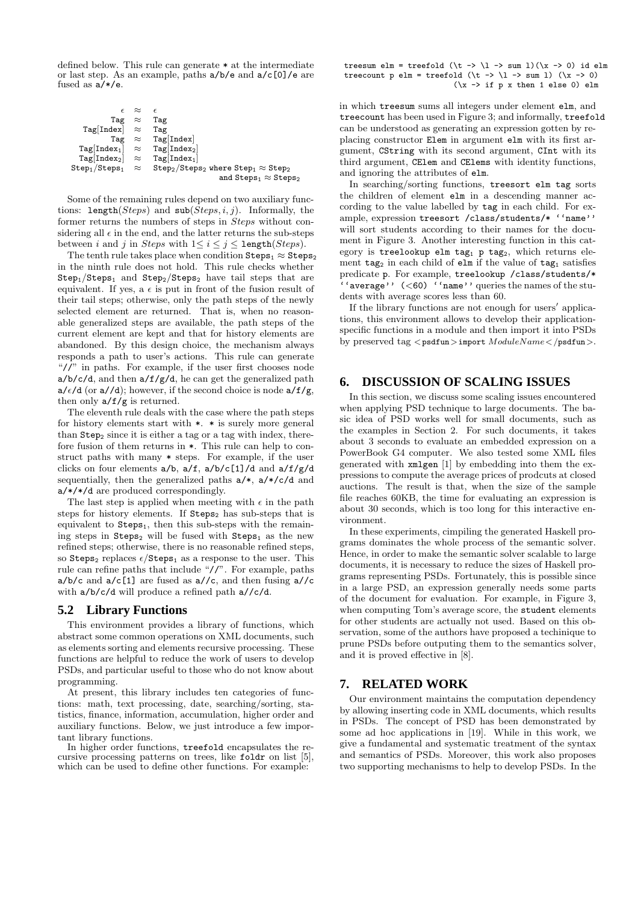defined below. This rule can generate \* at the intermediate or last step. As an example, paths a/b/e and a/c[0]/e are fused as a/\*/e.

|                                           | $\approx$ $\epsilon$ |                                                                                           |
|-------------------------------------------|----------------------|-------------------------------------------------------------------------------------------|
| Tag $\approx$                             |                      | Tag                                                                                       |
| Tag[Index] $\approx$                      |                      | Tag                                                                                       |
| Tag                                       | $\approx$            | $\mathtt{Tag}[\mathtt{Index}]$                                                            |
| $\texttt{Tag}[\texttt{Index}_1] \approx$  |                      | $\mathtt{Tag}[\mathtt{Index}_2]$                                                          |
| $\mathtt{Tag}[\mathtt{Index}_2]~\approx~$ |                      | $Tag[Index_1]$                                                                            |
| $Step1/Steps1 \approx$                    |                      | Step <sub>2</sub> /Steps <sub>2</sub> where Step <sub>1</sub> $\approx$ Step <sub>2</sub> |
|                                           |                      | and Steps <sub>1</sub> $\approx$ Steps <sub>2</sub>                                       |

Some of the remaining rules depend on two auxiliary functions: length( $Steps$ ) and  $sub(Steps, i, j)$ . Informally, the former returns the numbers of steps in Steps without considering all  $\epsilon$  in the end, and the latter returns the sub-steps between i and j in Steps with  $1 \le i \le j \le$  length(Steps).

The tenth rule takes place when condition  $\text{Steps}_{1} \approx \text{Steps}_{2}$ in the ninth rule does not hold. This rule checks whether  $Step<sub>1</sub>/Steps<sub>1</sub>$  and  $Step<sub>2</sub>/Steps<sub>2</sub>$  have tail steps that are equivalent. If yes, a  $\epsilon$  is put in front of the fusion result of their tail steps; otherwise, only the path steps of the newly selected element are returned. That is, when no reasonable generalized steps are available, the path steps of the current element are kept and that for history elements are abandoned. By this design choice, the mechanism always responds a path to user's actions. This rule can generate " $\frac{1}{2}$ " in paths. For example, if the user first chooses node  $a/b/c/d$ , and then  $a/f/g/d$ , he can get the generalized path  $a/\epsilon/d$  (or  $a'/d$ ); however, if the second choice is node  $a/f/g$ , then only  $a/f/g$  is returned.

The eleventh rule deals with the case where the path steps for history elements start with \*. \* is surely more general than  $Step_2$  since it is either a tag or a tag with index, therefore fusion of them returns in \*. This rule can help to construct paths with many \* steps. For example, if the user clicks on four elements a/b, a/f, a/b/c[1]/d and a/f/g/d sequentially, then the generalized paths a/\*, a/\*/c/d and a/\*/\*/d are produced correspondingly.

The last step is applied when meeting with  $\epsilon$  in the path steps for history elements. If Steps<sub>2</sub> has sub-steps that is equivalent to  $Steps<sub>1</sub>$ , then this sub-steps with the remaining steps in Steps<sub>2</sub> will be fused with Steps<sub>1</sub> as the new refined steps; otherwise, there is no reasonable refined steps, so Steps<sub>2</sub> replaces  $\epsilon$ /Steps<sub>1</sub> as a response to the user. This rule can refine paths that include "//". For example, paths  $a/b/c$  and  $a/c$ [1] are fused as  $a//c$ , and then fusing  $a//c$ with a/b/c/d will produce a refined path a//c/d.

#### **5.2 Library Functions**

This environment provides a library of functions, which abstract some common operations on XML documents, such as elements sorting and elements recursive processing. These functions are helpful to reduce the work of users to develop PSDs, and particular useful to those who do not know about programming.

At present, this library includes ten categories of functions: math, text processing, date, searching/sorting, statistics, finance, information, accumulation, higher order and auxiliary functions. Below, we just introduce a few important library functions.

In higher order functions, treefold encapsulates the recursive processing patterns on trees, like foldr on list [5], which can be used to define other functions. For example:

treesum elm = treefold  $(\t + > \l - > \sum -$  sum 1) $(\t x - > 0)$  id elm treecount p elm = treefold  $(\t t \rightarrow \l1 \rightarrow sum 1) (\t x \rightarrow 0)$  $(\x \rightarrow x$  if p x then 1 else 0) elm

in which treesum sums all integers under element elm, and treecount has been used in Figure 3; and informally, treefold can be understood as generating an expression gotten by replacing constructor Elem in argument elm with its first argument, CString with its second argument, CInt with its third argument, CElem and CElems with identity functions, and ignoring the attributes of elm.

In searching/sorting functions, treesort elm tag sorts the children of element elm in a descending manner according to the value labelled by tag in each child. For example, expression treesort /class/students/\* ''name'' will sort students according to their names for the document in Figure 3. Another interesting function in this category is treelookup elm tag<sub>1</sub> p tag<sub>2</sub>, which returns element  $tag_2$  in each child of elm if the value of  $tag_1$  satisfies predicate p. For example, treelookup /class/students/\* ''average'' (<60) ''name'' queries the names of the students with average scores less than 60.

If the library functions are not enough for users' applications, this environment allows to develop their applicationspecific functions in a module and then import it into PSDs by preserved tag  $\langle$  psdfun $\rangle$ import  $ModuleName \langle$  /psdfun $\rangle$ .

### **6. DISCUSSION OF SCALING ISSUES**

In this section, we discuss some scaling issues encountered when applying PSD technique to large documents. The basic idea of PSD works well for small documents, such as the examples in Section 2. For such documents, it takes about 3 seconds to evaluate an embedded expression on a PowerBook G4 computer. We also tested some XML files generated with xmlgen [1] by embedding into them the expressions to compute the average prices of prodcuts at closed auctions. The result is that, when the size of the sample file reaches 60KB, the time for evaluating an expression is about 30 seconds, which is too long for this interactive environment.

In these experiments, cimpiling the generated Haskell programs dominates the whole process of the semantic solver. Hence, in order to make the semantic solver scalable to large documents, it is necessary to reduce the sizes of Haskell programs representing PSDs. Fortunately, this is possible since in a large PSD, an expression generally needs some parts of the document for evaluation. For example, in Figure 3, when computing Tom's average score, the student elements for other students are actually not used. Based on this observation, some of the authors have proposed a techinique to prune PSDs before outputing them to the semantics solver, and it is proved effective in [8].

#### **7. RELATED WORK**

Our environment maintains the computation dependency by allowing inserting code in XML documents, which results in PSDs. The concept of PSD has been demonstrated by some ad hoc applications in [19]. While in this work, we give a fundamental and systematic treatment of the syntax and semantics of PSDs. Moreover, this work also proposes two supporting mechanisms to help to develop PSDs. In the